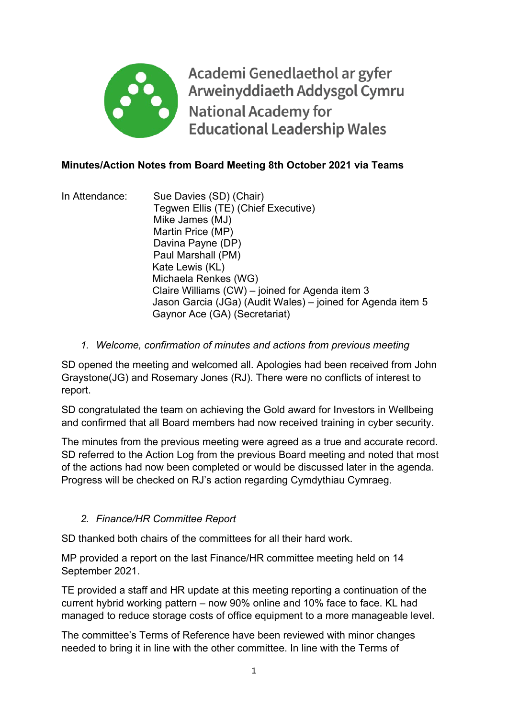

Academi Genedlaethol ar gyfer Arweinyddiaeth Addysgol Cymru **National Academy for Educational Leadership Wales** 

## **Minutes/Action Notes from Board Meeting 8th October 2021 via Teams**

- In Attendance: Sue Davies (SD) (Chair) Tegwen Ellis (TE) (Chief Executive) Mike James (MJ) Martin Price (MP) Davina Payne (DP) Paul Marshall (PM) Kate Lewis (KL) Michaela Renkes (WG) Claire Williams (CW) – joined for Agenda item 3 Jason Garcia (JGa) (Audit Wales) – joined for Agenda item 5 Gaynor Ace (GA) (Secretariat)
	- *1. Welcome, confirmation of minutes and actions from previous meeting*

SD opened the meeting and welcomed all. Apologies had been received from John Graystone(JG) and Rosemary Jones (RJ). There were no conflicts of interest to report.

SD congratulated the team on achieving the Gold award for Investors in Wellbeing and confirmed that all Board members had now received training in cyber security.

The minutes from the previous meeting were agreed as a true and accurate record. SD referred to the Action Log from the previous Board meeting and noted that most of the actions had now been completed or would be discussed later in the agenda. Progress will be checked on RJ's action regarding Cymdythiau Cymraeg.

# *2. Finance/HR Committee Report*

SD thanked both chairs of the committees for all their hard work.

MP provided a report on the last Finance/HR committee meeting held on 14 September 2021.

TE provided a staff and HR update at this meeting reporting a continuation of the current hybrid working pattern – now 90% online and 10% face to face. KL had managed to reduce storage costs of office equipment to a more manageable level.

The committee's Terms of Reference have been reviewed with minor changes needed to bring it in line with the other committee. In line with the Terms of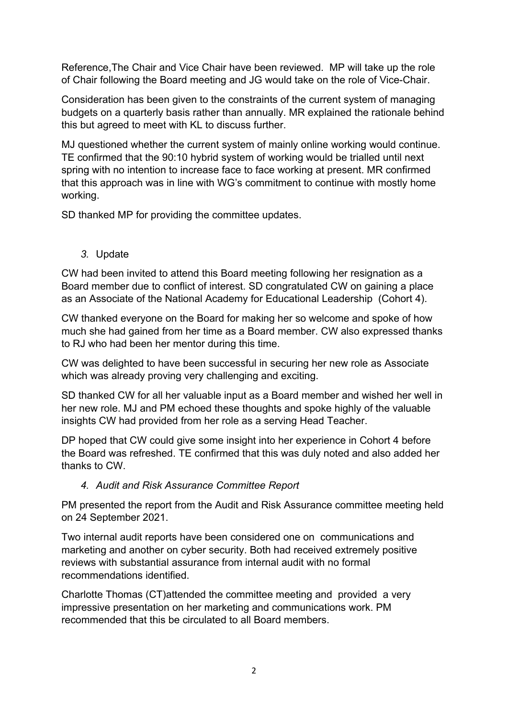Reference,The Chair and Vice Chair have been reviewed. MP will take up the role of Chair following the Board meeting and JG would take on the role of Vice-Chair.

Consideration has been given to the constraints of the current system of managing budgets on a quarterly basis rather than annually. MR explained the rationale behind this but agreed to meet with KL to discuss further.

MJ questioned whether the current system of mainly online working would continue. TE confirmed that the 90:10 hybrid system of working would be trialled until next spring with no intention to increase face to face working at present. MR confirmed that this approach was in line with WG's commitment to continue with mostly home working.

SD thanked MP for providing the committee updates.

*3.* Update

CW had been invited to attend this Board meeting following her resignation as a Board member due to conflict of interest. SD congratulated CW on gaining a place as an Associate of the National Academy for Educational Leadership (Cohort 4).

CW thanked everyone on the Board for making her so welcome and spoke of how much she had gained from her time as a Board member. CW also expressed thanks to RJ who had been her mentor during this time.

CW was delighted to have been successful in securing her new role as Associate which was already proving very challenging and exciting.

SD thanked CW for all her valuable input as a Board member and wished her well in her new role. MJ and PM echoed these thoughts and spoke highly of the valuable insights CW had provided from her role as a serving Head Teacher.

DP hoped that CW could give some insight into her experience in Cohort 4 before the Board was refreshed. TE confirmed that this was duly noted and also added her thanks to CW.

#### *4. Audit and Risk Assurance Committee Report*

PM presented the report from the Audit and Risk Assurance committee meeting held on 24 September 2021.

Two internal audit reports have been considered one on communications and marketing and another on cyber security. Both had received extremely positive reviews with substantial assurance from internal audit with no formal recommendations identified.

Charlotte Thomas (CT)attended the committee meeting and provided a very impressive presentation on her marketing and communications work. PM recommended that this be circulated to all Board members.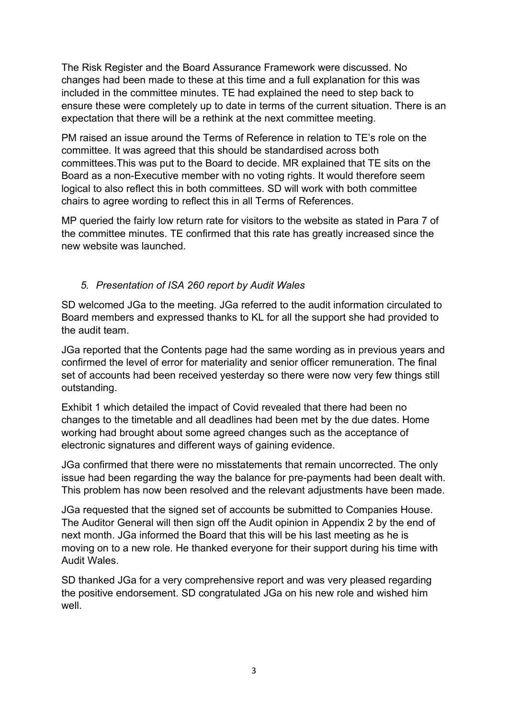The Risk Register and the Board Assurance Framework were discussed. No changes had been made to these at this time and a full explanation for this was included in the committee minutes. TE had explained the need to step back to ensure these were completely up to date in terms of the current situation. There is an expectation that there will be a rethink at the next committee meeting.

PM raised an issue around the Terms of Reference in relation to TE's role on the committee. It was agreed that this should be standardised across both committees.This was put to the Board to decide. MR explained that TE sits on the Board as a non-Executive member with no voting rights. It would therefore seem logical to also reflect this in both committees. SD will work with both committee chairs to agree wording to reflect this in all Terms of References.

MP queried the fairly low return rate for visitors to the website as stated in Para 7 of the committee minutes. TE confirmed that this rate has greatly increased since the new website was launched.

## *5. Presentation of ISA 260 report by Audit Wales*

SD welcomed JGa to the meeting. JGa referred to the audit information circulated to Board members and expressed thanks to KL for all the support she had provided to the audit team.

JGa reported that the Contents page had the same wording as in previous years and confirmed the level of error for materiality and senior officer remuneration. The final set of accounts had been received yesterday so there were now very few things still outstanding.

Exhibit 1 which detailed the impact of Covid revealed that there had been no changes to the timetable and all deadlines had been met by the due dates. Home working had brought about some agreed changes such as the acceptance of electronic signatures and different ways of gaining evidence.

JGa confirmed that there were no misstatements that remain uncorrected. The only issue had been regarding the way the balance for pre-payments had been dealt with. This problem has now been resolved and the relevant adjustments have been made.

JGa requested that the signed set of accounts be submitted to Companies House. The Auditor General will then sign off the Audit opinion in Appendix 2 by the end of next month. JGa informed the Board that this will be his last meeting as he is moving on to a new role. He thanked everyone for their support during his time with Audit Wales.

SD thanked JGa for a very comprehensive report and was very pleased regarding the positive endorsement. SD congratulated JGa on his new role and wished him well.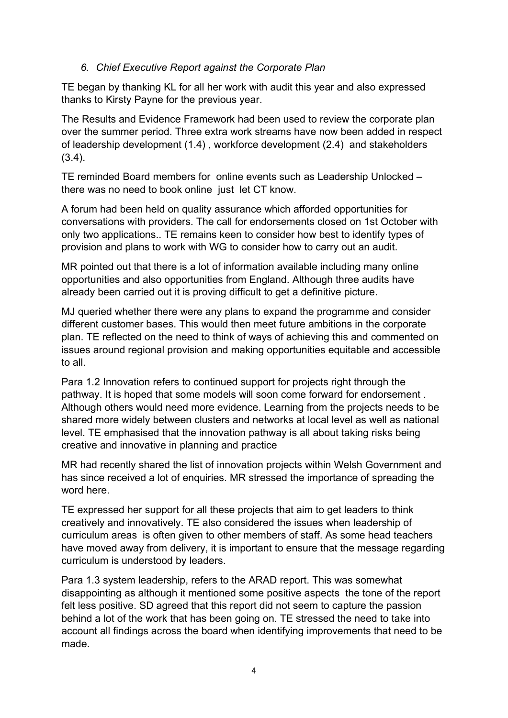#### *6. Chief Executive Report against the Corporate Plan*

TE began by thanking KL for all her work with audit this year and also expressed thanks to Kirsty Payne for the previous year.

The Results and Evidence Framework had been used to review the corporate plan over the summer period. Three extra work streams have now been added in respect of leadership development (1.4) , workforce development (2.4) and stakeholders (3.4).

TE reminded Board members for online events such as Leadership Unlocked – there was no need to book online just let CT know.

A forum had been held on quality assurance which afforded opportunities for conversations with providers. The call for endorsements closed on 1st October with only two applications.. TE remains keen to consider how best to identify types of provision and plans to work with WG to consider how to carry out an audit.

MR pointed out that there is a lot of information available including many online opportunities and also opportunities from England. Although three audits have already been carried out it is proving difficult to get a definitive picture.

MJ queried whether there were any plans to expand the programme and consider different customer bases. This would then meet future ambitions in the corporate plan. TE reflected on the need to think of ways of achieving this and commented on issues around regional provision and making opportunities equitable and accessible to all.

Para 1.2 Innovation refers to continued support for projects right through the pathway. It is hoped that some models will soon come forward for endorsement . Although others would need more evidence. Learning from the projects needs to be shared more widely between clusters and networks at local level as well as national level. TE emphasised that the innovation pathway is all about taking risks being creative and innovative in planning and practice

MR had recently shared the list of innovation projects within Welsh Government and has since received a lot of enquiries. MR stressed the importance of spreading the word here.

TE expressed her support for all these projects that aim to get leaders to think creatively and innovatively. TE also considered the issues when leadership of curriculum areas is often given to other members of staff. As some head teachers have moved away from delivery, it is important to ensure that the message regarding curriculum is understood by leaders.

Para 1.3 system leadership, refers to the ARAD report. This was somewhat disappointing as although it mentioned some positive aspects the tone of the report felt less positive. SD agreed that this report did not seem to capture the passion behind a lot of the work that has been going on. TE stressed the need to take into account all findings across the board when identifying improvements that need to be made.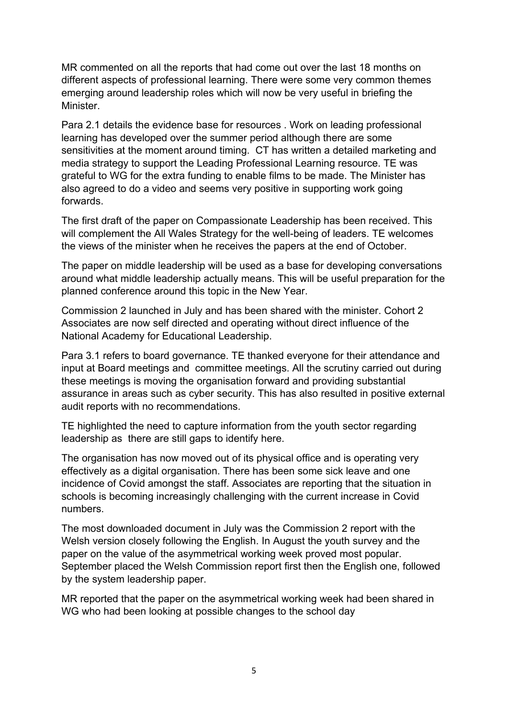MR commented on all the reports that had come out over the last 18 months on different aspects of professional learning. There were some very common themes emerging around leadership roles which will now be very useful in briefing the Minister.

Para 2.1 details the evidence base for resources . Work on leading professional learning has developed over the summer period although there are some sensitivities at the moment around timing. CT has written a detailed marketing and media strategy to support the Leading Professional Learning resource. TE was grateful to WG for the extra funding to enable films to be made. The Minister has also agreed to do a video and seems very positive in supporting work going forwards.

The first draft of the paper on Compassionate Leadership has been received. This will complement the All Wales Strategy for the well-being of leaders. TE welcomes the views of the minister when he receives the papers at the end of October.

The paper on middle leadership will be used as a base for developing conversations around what middle leadership actually means. This will be useful preparation for the planned conference around this topic in the New Year.

Commission 2 launched in July and has been shared with the minister. Cohort 2 Associates are now self directed and operating without direct influence of the National Academy for Educational Leadership.

Para 3.1 refers to board governance. TE thanked everyone for their attendance and input at Board meetings and committee meetings. All the scrutiny carried out during these meetings is moving the organisation forward and providing substantial assurance in areas such as cyber security. This has also resulted in positive external audit reports with no recommendations.

TE highlighted the need to capture information from the youth sector regarding leadership as there are still gaps to identify here.

The organisation has now moved out of its physical office and is operating very effectively as a digital organisation. There has been some sick leave and one incidence of Covid amongst the staff. Associates are reporting that the situation in schools is becoming increasingly challenging with the current increase in Covid numbers.

The most downloaded document in July was the Commission 2 report with the Welsh version closely following the English. In August the youth survey and the paper on the value of the asymmetrical working week proved most popular. September placed the Welsh Commission report first then the English one, followed by the system leadership paper.

MR reported that the paper on the asymmetrical working week had been shared in WG who had been looking at possible changes to the school day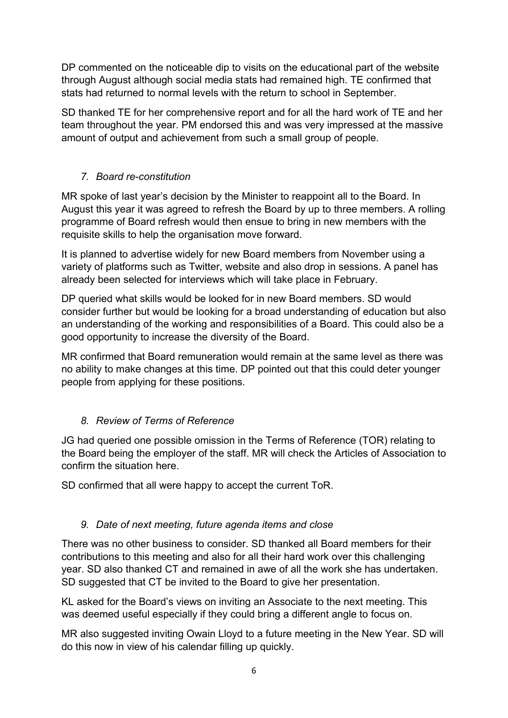DP commented on the noticeable dip to visits on the educational part of the website through August although social media stats had remained high. TE confirmed that stats had returned to normal levels with the return to school in September.

SD thanked TE for her comprehensive report and for all the hard work of TE and her team throughout the year. PM endorsed this and was very impressed at the massive amount of output and achievement from such a small group of people.

# *7. Board re-constitution*

MR spoke of last year's decision by the Minister to reappoint all to the Board. In August this year it was agreed to refresh the Board by up to three members. A rolling programme of Board refresh would then ensue to bring in new members with the requisite skills to help the organisation move forward.

It is planned to advertise widely for new Board members from November using a variety of platforms such as Twitter, website and also drop in sessions. A panel has already been selected for interviews which will take place in February.

DP queried what skills would be looked for in new Board members. SD would consider further but would be looking for a broad understanding of education but also an understanding of the working and responsibilities of a Board. This could also be a good opportunity to increase the diversity of the Board.

MR confirmed that Board remuneration would remain at the same level as there was no ability to make changes at this time. DP pointed out that this could deter younger people from applying for these positions.

# *8. Review of Terms of Reference*

JG had queried one possible omission in the Terms of Reference (TOR) relating to the Board being the employer of the staff. MR will check the Articles of Association to confirm the situation here.

SD confirmed that all were happy to accept the current ToR.

#### *9. Date of next meeting, future agenda items and close*

There was no other business to consider. SD thanked all Board members for their contributions to this meeting and also for all their hard work over this challenging year. SD also thanked CT and remained in awe of all the work she has undertaken. SD suggested that CT be invited to the Board to give her presentation.

KL asked for the Board's views on inviting an Associate to the next meeting. This was deemed useful especially if they could bring a different angle to focus on.

MR also suggested inviting Owain Lloyd to a future meeting in the New Year. SD will do this now in view of his calendar filling up quickly.